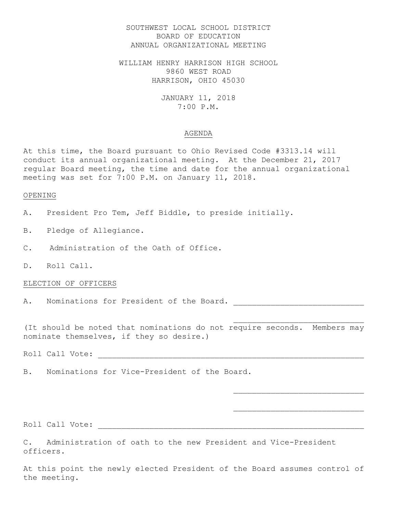# SOUTHWEST LOCAL SCHOOL DISTRICT BOARD OF EDUCATION ANNUAL ORGANIZATIONAL MEETING

WILLIAM HENRY HARRISON HIGH SCHOOL 9860 WEST ROAD HARRISON, OHIO 45030

> JANUARY 11, 2018 7:00 P.M.

#### AGENDA

At this time, the Board pursuant to Ohio Revised Code #3313.14 will conduct its annual organizational meeting. At the December 21, 2017 regular Board meeting, the time and date for the annual organizational meeting was set for 7:00 P.M. on January 11, 2018.

### OPENING

A. President Pro Tem, Jeff Biddle, to preside initially.

- B. Pledge of Allegiance.
- C. Administration of the Oath of Office.
- D. Roll Call.

### ELECTION OF OFFICERS

A. Nominations for President of the Board.

(It should be noted that nominations do not require seconds. Members may nominate themselves, if they so desire.)

Roll Call Vote: \_\_\_\_\_\_\_\_\_\_\_\_\_\_\_\_\_\_\_\_\_\_\_\_\_\_\_\_\_\_\_\_\_\_\_\_\_\_\_\_\_\_\_\_\_\_\_\_\_\_\_\_\_\_\_\_\_

B. Nominations for Vice-President of the Board.

Roll Call Vote: \_\_\_\_\_\_\_\_\_\_\_\_\_\_\_\_\_\_\_\_\_\_\_\_\_\_\_\_\_\_\_\_\_\_\_\_\_\_\_\_\_\_\_\_\_\_\_\_\_\_\_\_\_\_\_\_\_

C. Administration of oath to the new President and Vice-President officers.

At this point the newly elected President of the Board assumes control of the meeting.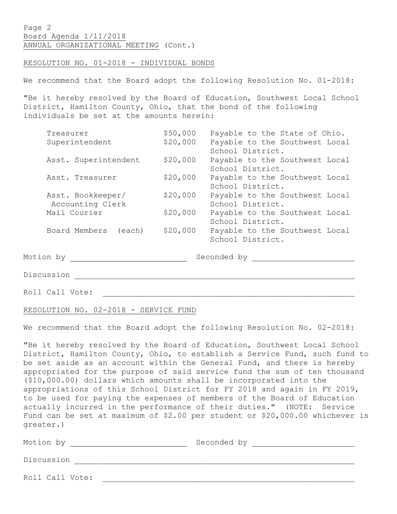Page 2 Board Agenda 1/11/2018 ANNUAL ORGANIZATIONAL MEETING (Cont.)

RESOLUTION NO. 01-2018 - INDIVIDUAL BONDS

We recommend that the Board adopt the following Resolution No. 01-2018:

"Be it hereby resolved by the Board of Education, Southwest Local School District, Hamilton County, Ohio, that the bond of the following individuals be set at the amounts herein:

| Treasurer                   | \$50,000 | Payable to the State of Ohio.  |
|-----------------------------|----------|--------------------------------|
| Superintendent              | \$20,000 | Payable to the Southwest Local |
|                             |          | School District.               |
| Asst. Superintendent        | \$20,000 | Payable to the Southwest Local |
|                             |          | School District.               |
| Asst. Treasurer             | \$20,000 | Payable to the Southwest Local |
|                             |          | School District.               |
| Asst. Bookkeeper/           | \$20,000 | Payable to the Southwest Local |
| Accounting Clerk            |          | School District.               |
| Mail Courier                | \$20,000 | Payable to the Southwest Local |
|                             |          | School District.               |
| Board Members (each)        | \$20,000 | Payable to the Southwest Local |
|                             |          | School District.               |
|                             |          |                                |
| $\sim$ $\sim$ $\sim$ $\sim$ |          | Conceded by                    |

Motion by Seconded by \_\_\_\_\_\_\_\_\_\_\_\_\_\_\_\_\_\_\_\_\_\_

Discussion \_\_\_\_\_\_\_\_\_\_\_\_\_\_\_\_\_\_\_\_\_\_\_\_\_\_\_\_\_\_\_\_\_\_\_\_\_\_\_\_\_\_\_\_\_\_\_\_\_\_\_\_\_\_\_\_\_\_\_\_

Roll Call Vote:

RESOLUTION NO. 02-2018 - SERVICE FUND

We recommend that the Board adopt the following Resolution No. 02-2018:

"Be it hereby resolved by the Board of Education, Southwest Local School District, Hamilton County, Ohio, to establish a Service Fund, such fund to be set aside as an account within the General Fund, and there is hereby appropriated for the purpose of said service fund the sum of ten thousand (\$10,000.00) dollars which amounts shall be incorporated into the appropriations of this School District for FY 2018 and again in FY 2019, to be used for paying the expenses of members of the Board of Education actually incurred in the performance of their duties." (NOTE: Service Fund can be set at maximum of \$2.00 per student or \$20,000.00 whichever is greater.)

Motion by Geconded by Seconded by Discussion \_\_\_\_\_\_\_\_\_\_\_\_\_\_\_\_\_\_\_\_\_\_\_\_\_\_\_\_\_\_\_\_\_\_\_\_\_\_\_\_\_\_\_\_\_\_\_\_\_\_\_\_\_\_\_\_\_\_\_\_ Roll Call Vote: \_\_\_\_\_\_\_\_\_\_\_\_\_\_\_\_\_\_\_\_\_\_\_\_\_\_\_\_\_\_\_\_\_\_\_\_\_\_\_\_\_\_\_\_\_\_\_\_\_\_\_\_\_\_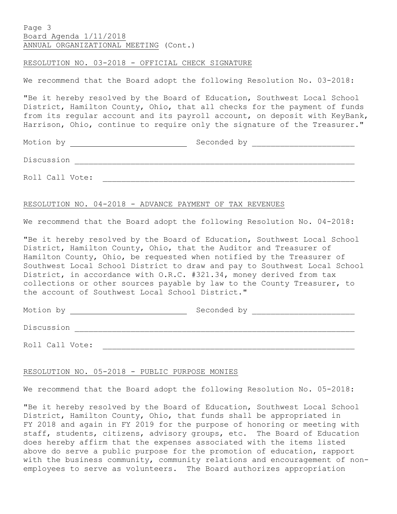# Page 3 Board Agenda 1/11/2018 ANNUAL ORGANIZATIONAL MEETING (Cont.)

### RESOLUTION NO. 03-2018 - OFFICIAL CHECK SIGNATURE

We recommend that the Board adopt the following Resolution No. 03-2018:

"Be it hereby resolved by the Board of Education, Southwest Local School District, Hamilton County, Ohio, that all checks for the payment of funds from its regular account and its payroll account, on deposit with KeyBank, Harrison, Ohio, continue to require only the signature of the Treasurer."

Motion by  $\qquad \qquad$  Seconded by  $\qquad \qquad$ 

Roll Call Vote:

### RESOLUTION NO. 04-2018 - ADVANCE PAYMENT OF TAX REVENUES

Discussion \_\_\_\_\_\_\_\_\_\_\_\_\_\_\_\_\_\_\_\_\_\_\_\_\_\_\_\_\_\_\_\_\_\_\_\_\_\_\_\_\_\_\_\_\_\_\_\_\_\_\_\_\_\_\_\_\_\_\_\_

We recommend that the Board adopt the following Resolution No. 04-2018:

"Be it hereby resolved by the Board of Education, Southwest Local School District, Hamilton County, Ohio, that the Auditor and Treasurer of Hamilton County, Ohio, be requested when notified by the Treasurer of Southwest Local School District to draw and pay to Southwest Local School District, in accordance with O.R.C. #321.34, money derived from tax collections or other sources payable by law to the County Treasurer, to the account of Southwest Local School District."

Motion by Geconded by Seconded by Discussion \_\_\_\_\_\_\_\_\_\_\_\_\_\_\_\_\_\_\_\_\_\_\_\_\_\_\_\_\_\_\_\_\_\_\_\_\_\_\_\_\_\_\_\_\_\_\_\_\_\_\_\_\_\_\_\_\_\_\_\_ Roll Call Vote: \_\_\_\_\_\_\_\_\_\_\_\_\_\_\_\_\_\_\_\_\_\_\_\_\_\_\_\_\_\_\_\_\_\_\_\_\_\_\_\_\_\_\_\_\_\_\_\_\_\_\_\_\_\_

# RESOLUTION NO. 05-2018 - PUBLIC PURPOSE MONIES

We recommend that the Board adopt the following Resolution No. 05-2018:

"Be it hereby resolved by the Board of Education, Southwest Local School District, Hamilton County, Ohio, that funds shall be appropriated in FY 2018 and again in FY 2019 for the purpose of honoring or meeting with staff, students, citizens, advisory groups, etc. The Board of Education does hereby affirm that the expenses associated with the items listed above do serve a public purpose for the promotion of education, rapport with the business community, community relations and encouragement of nonemployees to serve as volunteers. The Board authorizes appropriation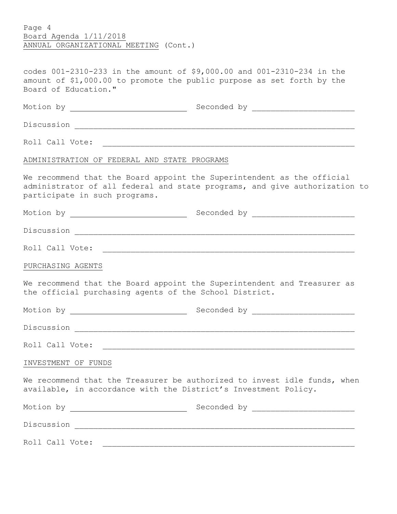Page 4 Board Agenda 1/11/2018 ANNUAL ORGANIZATIONAL MEETING (Cont.)

codes 001-2310-233 in the amount of \$9,000.00 and 001-2310-234 in the amount of \$1,000.00 to promote the public purpose as set forth by the Board of Education."

| ADMINISTRATION OF FEDERAL AND STATE PROGRAMS |                                                                                                                                                      |  |
|----------------------------------------------|------------------------------------------------------------------------------------------------------------------------------------------------------|--|
| participate in such programs.                | We recommend that the Board appoint the Superintendent as the official<br>administrator of all federal and state programs, and give authorization to |  |
|                                              |                                                                                                                                                      |  |
|                                              |                                                                                                                                                      |  |
|                                              |                                                                                                                                                      |  |
| PURCHASING AGENTS                            |                                                                                                                                                      |  |
|                                              | We recommend that the Board appoint the Superintendent and Treasurer as<br>the official purchasing agents of the School District.                    |  |
|                                              |                                                                                                                                                      |  |
|                                              |                                                                                                                                                      |  |
|                                              |                                                                                                                                                      |  |
| INVESTMENT OF FUNDS                          |                                                                                                                                                      |  |
|                                              | We recommend that the Treasurer be authorized to invest idle funds, when<br>available, in accordance with the District's Investment Policy.          |  |
|                                              |                                                                                                                                                      |  |
|                                              |                                                                                                                                                      |  |
|                                              |                                                                                                                                                      |  |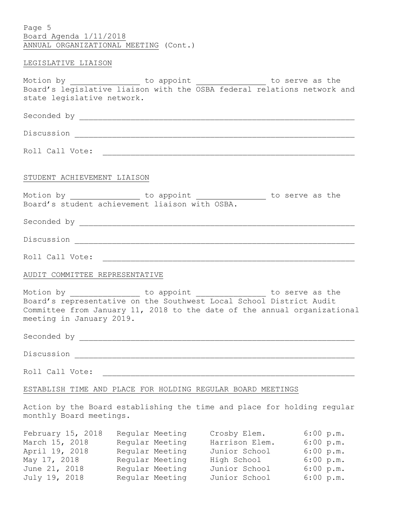Page 5 Board Agenda 1/11/2018 ANNUAL ORGANIZATIONAL MEETING (Cont.)

### LEGISLATIVE LIAISON

Motion by \_\_\_\_\_\_\_\_\_\_\_\_\_\_\_\_ to appoint \_\_\_\_\_\_\_\_\_\_\_\_\_\_\_ to serve as the Board's legislative liaison with the OSBA federal relations network and state legislative network.

| Seconded by |  |
|-------------|--|
|             |  |
| Discussion  |  |

Roll Call Vote: \_\_\_\_\_\_\_\_\_\_\_\_\_\_\_\_\_\_\_\_\_\_\_\_\_\_\_\_\_\_\_\_\_\_\_\_\_\_\_\_\_\_\_\_\_\_\_\_\_\_\_\_\_\_

## STUDENT ACHIEVEMENT LIAISON

| Motion by | to appoint                                     | to serve as the |  |
|-----------|------------------------------------------------|-----------------|--|
|           | Board's student achievement liaison with OSBA. |                 |  |

Seconded by \_\_\_\_\_\_\_\_\_\_\_\_\_\_\_\_\_\_\_\_\_\_\_\_\_\_\_\_\_\_\_\_\_\_\_\_\_\_\_\_\_\_\_\_\_\_\_\_\_\_\_\_\_\_\_\_\_\_\_

Discussion \_\_\_\_\_\_\_\_\_\_\_\_\_\_\_\_\_\_\_\_\_\_\_\_\_\_\_\_\_\_\_\_\_\_\_\_\_\_\_\_\_\_\_\_\_\_\_\_\_\_\_\_\_\_\_\_\_\_\_\_

Roll Call Vote: \_\_\_\_\_\_\_\_\_\_\_\_\_\_\_\_\_\_\_\_\_\_\_\_\_\_\_\_\_\_\_\_\_\_\_\_\_\_\_\_\_\_\_\_\_\_\_\_\_\_\_\_\_\_

### AUDIT COMMITTEE REPRESENTATIVE

Motion by \_\_\_\_\_\_\_\_\_\_\_\_\_\_\_\_\_ to appoint \_\_\_\_\_\_\_\_\_\_\_\_\_\_\_\_\_ to serve as the Board's representative on the Southwest Local School District Audit Committee from January 11, 2018 to the date of the annual organizational meeting in January 2019.

Seconded by  $\overline{a}$ 

Discussion \_\_\_\_\_\_\_\_\_\_\_\_\_\_\_\_\_\_\_\_\_\_\_\_\_\_\_\_\_\_\_\_\_\_\_\_\_\_\_\_\_\_\_\_\_\_\_\_\_\_\_\_\_\_\_\_\_\_\_\_

Roll Call Vote: \_\_\_\_\_\_\_\_\_\_\_\_\_\_\_\_\_\_\_\_\_\_\_\_\_\_\_\_\_\_\_\_\_\_\_\_\_\_\_\_\_\_\_\_\_\_\_\_\_\_\_\_\_\_

# ESTABLISH TIME AND PLACE FOR HOLDING REGULAR BOARD MEETINGS

Action by the Board establishing the time and place for holding regular monthly Board meetings.

| February 15, 2018 | Regular Meeting | Crosby Elem.   | $6:00$ p.m. |
|-------------------|-----------------|----------------|-------------|
| March 15, 2018    | Regular Meeting | Harrison Elem. | 6:00 p.m.   |
| April 19, 2018    | Regular Meeting | Junior School  | 6:00 p.m.   |
| May 17, 2018      | Regular Meeting | High School    | 6:00 p.m.   |
| June 21, 2018     | Regular Meeting | Junior School  | 6:00 p.m.   |
| July 19, 2018     | Regular Meeting | Junior School  | 6:00 p.m.   |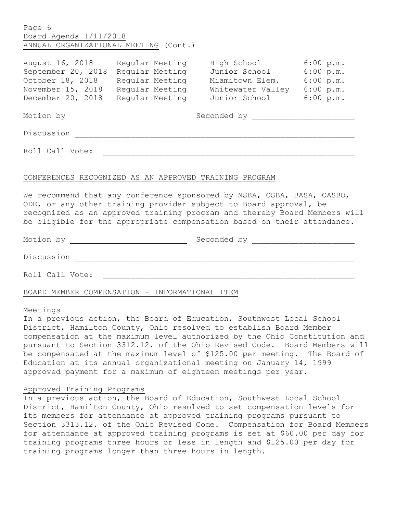| Page 6                                                                                                                                                                                                                               |                                         |                                                               |  |  |  |
|--------------------------------------------------------------------------------------------------------------------------------------------------------------------------------------------------------------------------------------|-----------------------------------------|---------------------------------------------------------------|--|--|--|
| Board Agenda 1/11/2018                                                                                                                                                                                                               |                                         |                                                               |  |  |  |
| ANNUAL ORGANIZATIONAL MEETING (Cont.)                                                                                                                                                                                                |                                         |                                                               |  |  |  |
|                                                                                                                                                                                                                                      |                                         |                                                               |  |  |  |
|                                                                                                                                                                                                                                      |                                         | August 16, 2018 Regular Meeting High School 6:00 p.m.         |  |  |  |
| September 20, 2018                                                                                                                                                                                                                   | Regular Meeting Junior School 6:00 p.m. |                                                               |  |  |  |
|                                                                                                                                                                                                                                      |                                         | October 18, 2018 Regular Meeting Miamitown Elem. 6:00 p.m.    |  |  |  |
|                                                                                                                                                                                                                                      |                                         | November 15, 2018 Regular Meeting Whitewater Valley 6:00 p.m. |  |  |  |
|                                                                                                                                                                                                                                      |                                         | December 20, 2018 Regular Meeting Junior School 6:00 p.m.     |  |  |  |
|                                                                                                                                                                                                                                      |                                         |                                                               |  |  |  |
| Motion by <u>entitled and the set of the set of the set of the set of the set of the set of the set of the set of the set of the set of the set of the set of the set of the set of the set of the set of the set of the set of </u> |                                         |                                                               |  |  |  |
|                                                                                                                                                                                                                                      |                                         |                                                               |  |  |  |
| Discussion                                                                                                                                                                                                                           |                                         |                                                               |  |  |  |
|                                                                                                                                                                                                                                      |                                         |                                                               |  |  |  |
| Roll Call Vote:                                                                                                                                                                                                                      |                                         |                                                               |  |  |  |
|                                                                                                                                                                                                                                      |                                         |                                                               |  |  |  |
|                                                                                                                                                                                                                                      |                                         |                                                               |  |  |  |
| CONFERENCES RECOGNIZED AS AN APPROVED TRAINING PROGRAM                                                                                                                                                                               |                                         |                                                               |  |  |  |
|                                                                                                                                                                                                                                      |                                         |                                                               |  |  |  |
| We recommend that any conference sponsored by NSBA, OSBA, BASA, OASBO,                                                                                                                                                               |                                         |                                                               |  |  |  |
| ODE, or any other training provider subject to Board approval, be                                                                                                                                                                    |                                         |                                                               |  |  |  |
| recognized as an approved training program and thereby Board Members will                                                                                                                                                            |                                         |                                                               |  |  |  |
| be eligible for the appropriate compensation based on their attendance.                                                                                                                                                              |                                         |                                                               |  |  |  |
|                                                                                                                                                                                                                                      |                                         |                                                               |  |  |  |

| Motion by       | Seconded by |  |  |  |  |
|-----------------|-------------|--|--|--|--|
| Discussion      |             |  |  |  |  |
| Roll Call Vote: |             |  |  |  |  |

BOARD MEMBER COMPENSATION - INFORMATIONAL ITEM

## Meetings

In a previous action, the Board of Education, Southwest Local School District, Hamilton County, Ohio resolved to establish Board Member compensation at the maximum level authorized by the Ohio Constitution and pursuant to Section 3312.12. of the Ohio Revised Code. Board Members will be compensated at the maximum level of \$125.00 per meeting. The Board of Education at its annual organizational meeting on January 14, 1999 approved payment for a maximum of eighteen meetings per year.

# Approved Training Programs

In a previous action, the Board of Education, Southwest Local School District, Hamilton County, Ohio resolved to set compensation levels for its members for attendance at approved training programs pursuant to Section 3313.12. of the Ohio Revised Code. Compensation for Board Members for attendance at approved training programs is set at \$60.00 per day for training programs three hours or less in length and \$125.00 per day for training programs longer than three hours in length.